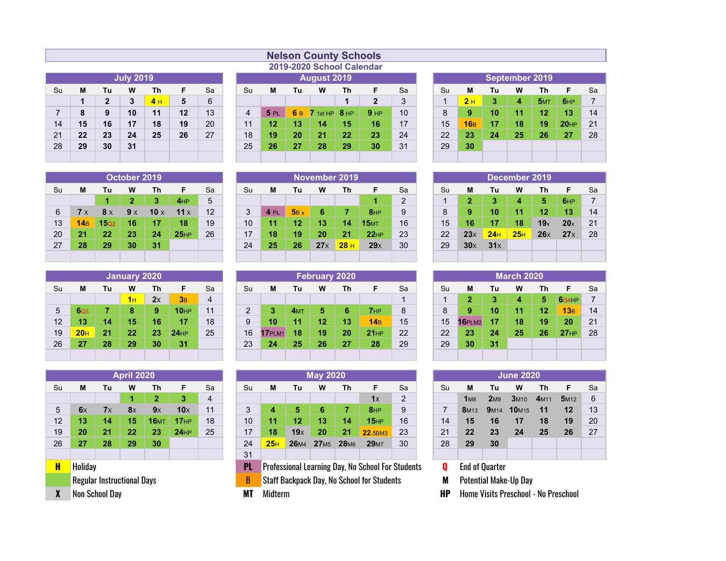|                |    |              | <b>July 2019</b> |    |    |    |
|----------------|----|--------------|------------------|----|----|----|
| Su             | М  | Tu           | W                | Th | F  | Sa |
|                | 1  | $\mathbf{2}$ | 3                | 4H | 5  | 6  |
| $\overline{7}$ | 8  | 9            | 10               | 11 | 12 | 13 |
| 14             | 15 | 16           | 17               | 18 | 19 | 20 |
| 21             | 22 | 23           | 24               | 25 | 26 | 27 |
| 28             | 29 | 30           | 31               |    |    |    |
|                |    |              |                  |    |    |    |

| <b>Nelson County Schools</b> |                           |
|------------------------------|---------------------------|
|                              | 2019-2020 School Calendar |

|                |    |    |                  |     |    |    |    | AVIV AVAV UVIIVVI VMIVIIMMI |     |             |                 |                 |    |    |      |    |                |                 |                  |    |
|----------------|----|----|------------------|-----|----|----|----|-----------------------------|-----|-------------|-----------------|-----------------|----|----|------|----|----------------|-----------------|------------------|----|
|                |    |    | <b>July 2019</b> |     |    |    |    |                             |     | August 2019 |                 |                 |    |    |      |    | September 2019 |                 |                  |    |
| Su             | м  | Tu | W                | Th  |    | Sa | Su | M                           | Tu  | W           | Th.             |                 | Sa | Su | М    | Tu | W              | Th              | F                | Sa |
|                |    | າ  | 3                | 4 H | 5  | 6  |    |                             |     |             |                 | າ<br>▴          | 2  |    | $2+$ | 3  | 4              | 5M <sub>T</sub> | 6HP              |    |
| $\overline{7}$ | 8  | 9  | 10               | 11  | 12 | 13 | 4  | 5PL                         | 6 B | $7$ 1st HP  | 8 <sub>HP</sub> | 9 <sub>HP</sub> | 10 | 8  |      | 10 | 11             | 12              | 13               | 14 |
| 14             | 15 | 16 | 17               | 18  | 19 | 20 | 11 | 12                          | 13  | 14          | 15              | 16              | 17 | 15 | 16B  | 17 | 18             | 19              | 20 <sub>HP</sub> | 21 |
| 21             | 22 | 23 | 24               | 25  | 26 | 27 | 18 | 19                          | 20  | 21          | 22              | 23              | 24 | 22 | 23   | 24 | 25             | 26              | 27               | 28 |
| 28             | 29 | 30 | 31               |     |    |    | 25 | 26                          | 27  | 28          | 29              | 30              | 31 | 29 | 30   |    |                |                 |                  |    |
|                |    |    |                  |     |    |    |    |                             |     |             |                 |                 |    |    |      |    |                |                 |                  |    |
|                |    |    |                  |     |    |    |    |                             |     |             |                 |                 |    |    |      |    |                |                 |                  |    |

|    |     |     | September 2019 |    |                  |    |
|----|-----|-----|----------------|----|------------------|----|
| Su | М   | Tu  | w              | Τh | F                | Sa |
| 1  | 2H  | 6HP | 7              |    |                  |    |
| 8  | 9   | 13  | 14             |    |                  |    |
| 15 | 16B | 17  | 18             | 19 | 20 <sub>HP</sub> | 21 |
| 22 | 23  | 24  | 25             | 26 | 27               | 28 |
| 29 | 30  |     |                |    |                  |    |
|    |     |     |                |    |                  |    |

|    |            |                  | October 2019 |             |             |    |    |      |             |            | November 2019   |                 |    |     |            |                 | December 2019   |                 |     |     |
|----|------------|------------------|--------------|-------------|-------------|----|----|------|-------------|------------|-----------------|-----------------|----|-----|------------|-----------------|-----------------|-----------------|-----|-----|
| Su | M          | Tu               | W            | Th          | F           | Sa | Su | M    | Τu          | w          | Th              | F               | Sa | .Su | м          | Tu              | W               | Th.             | F   | Sa  |
|    |            |                  |              | 3           | 4HP         | 5  |    |      |             |            |                 |                 | 2  |     |            | 3               | 4               | 5               | 6HP |     |
| 6  | <b>7</b> x | $8 \times$       | $9 \times$   | 10 $\times$ | 11 $\times$ | 12 | 3  | 4 PL | $5B \times$ | 6          |                 | 8 <sub>HP</sub> | 9  |     |            | 10              | 11              | 12              | 13  | 14  |
| 13 | 14B        | 15 <sub>Q2</sub> | 16           | 17          | 18          | 19 | 10 | 11   | 12          | 13         | 14              | 15M             | 16 | 15  | 16         | 17              | 18              | 19 <sub>x</sub> | 20x | -21 |
| 20 | 21         | 22               | 23           | 24          | 25HP        | 26 |    | 18   | 19          | 20         | 21              | 22HP            | 23 | 22  | $23\times$ | 24 <sub>1</sub> | 25 <sub>H</sub> | 26x             | 27x | -28 |
| 27 | 28         | 29               | 30           | 31          |             |    | 24 | 25   | 26          | $27\times$ | 28 <sub>H</sub> | 29x             | 30 | 29  | $30\times$ | 31x             |                 |                 |     |     |
|    |            |                  |              |             |             |    |    |      |             |            |                 |                 |    |     |            |                 |                 |                 |     |     |

|    |                 |    | January 2020 |    |                  |    |    |        |                 | <b>February 2020</b> |    |                 |    |    |               |  |
|----|-----------------|----|--------------|----|------------------|----|----|--------|-----------------|----------------------|----|-----------------|----|----|---------------|--|
| Su | M               | Tu | W            | Th | F                | Sa | Su | M      | Tu              | W                    | Th | F               | Sa | Su | M             |  |
|    |                 |    | 1H           | 2x | 3B               | 4  |    |        |                 |                      |    |                 |    |    | 2             |  |
| 5  | 6Q <sub>3</sub> |    | 8            | 9  | 10 <sub>HP</sub> | 11 | 2  |        | 4 <sub>MT</sub> | 5                    | 6  | 7 <sub>HP</sub> | 8  | 8  | 9             |  |
| 12 | 13              | 14 | 15           | 16 | 17               | 18 | 9  | 10     | 11              | 12                   | 13 | 14B             | 15 | 15 | <b>16PLM2</b> |  |
| 19 | 20 <sub>H</sub> | 21 | 22           | 23 | 24HP             | 25 | 16 | 17PLM1 | 18              | 19                   | 20 | 21HP            | 22 | 22 | 23            |  |
| 26 | 27              | 28 | 29           | 30 | 31               |    | 23 | 24     | 25              | 26                   | 27 | 28              | 29 | 29 | 30            |  |
|    |                 |    |              |    |                  |    |    |        |                 |                      |    |                 |    |    |               |  |

| 27              | 28              | 29  | 30           | 31 |                  |    | 24             | 25        | 26              | $27\times$           | $28+$ | 29x             | 30 | 29 | $30\times$    | 31x |                   |    |       |    |
|-----------------|-----------------|-----|--------------|----|------------------|----|----------------|-----------|-----------------|----------------------|-------|-----------------|----|----|---------------|-----|-------------------|----|-------|----|
|                 |                 |     |              |    |                  |    |                |           |                 |                      |       |                 |    |    |               |     |                   |    |       |    |
|                 |                 |     |              |    |                  |    |                |           |                 |                      |       |                 |    |    |               |     |                   |    |       |    |
|                 |                 |     | January 2020 |    |                  |    |                |           |                 | <b>February 2020</b> |       |                 |    |    |               |     | <b>March 2020</b> |    |       |    |
| Su              | м               | Tu  | W            | Th | F                | Sa | Su             | M         | Tu              | W                    | Th.   | F.              | Sa | Su | М             | Tu  | W                 | Τh | F     | Sa |
|                 |                 |     | 1H           | 2x | 3B               | 4  |                |           |                 |                      |       |                 |    |    |               | 3   | 4                 | 5  | 6Q4HP |    |
| 5               | 6 <sub>03</sub> |     | 8            | 9  | 10 <sub>HP</sub> | 11 | $\overline{2}$ |           | 4 <sub>MT</sub> | 5                    | 6     | 7 <sub>HP</sub> | 8  | 8  | 9             | 10  | 11                | 12 | 13B   | 14 |
| 12 <sup>2</sup> | 13              | 14. | 15           | 16 | 17               | 18 | 9              | 10        | 11              | 12                   | 13    | 14B             | 15 | 15 | <b>16PLM2</b> | 17  | 18                | 19 | 20    | 21 |
| 19              | 20 <sub>H</sub> | 21  | 22           | 23 | 24HP             | 25 | 16             | $17$ PLM1 | 18              | 19                   | 20    | 21HP            | 22 | 22 | 23            | 24  | 25                | 26 | 27HP  | 28 |

|    |         |                                                                      | <b>April 2020</b> |              |      |                |  |  |  |  |  |  |  |  |  |  |
|----|---------|----------------------------------------------------------------------|-------------------|--------------|------|----------------|--|--|--|--|--|--|--|--|--|--|
| Su | М       | Tu                                                                   | W                 | Th           | F    | Sa             |  |  |  |  |  |  |  |  |  |  |
|    |         |                                                                      | 1                 | $\mathbf{2}$ | 3    | $\overline{4}$ |  |  |  |  |  |  |  |  |  |  |
| 5  | 6x      | 11<br>10x<br>8x<br>9x<br>7x<br>14<br><b>16MT</b><br>18<br>13<br>17HP |                   |              |      |                |  |  |  |  |  |  |  |  |  |  |
| 12 |         | 15                                                                   |                   |              |      |                |  |  |  |  |  |  |  |  |  |  |
| 19 | 20      | 21                                                                   | 22                | 23           | 24HP | 25             |  |  |  |  |  |  |  |  |  |  |
| 26 | 27      | 28                                                                   | 29                | 30           |      |                |  |  |  |  |  |  |  |  |  |  |
|    |         |                                                                      |                   |              |      |                |  |  |  |  |  |  |  |  |  |  |
| H  | Holiday |                                                                      |                   |              |      |                |  |  |  |  |  |  |  |  |  |  |
|    |         | <b>Regular Instructional Days</b>                                    |                   |              |      |                |  |  |  |  |  |  |  |  |  |  |
| X  |         | Non School Day                                                       |                   |              |      |                |  |  |  |  |  |  |  |  |  |  |

|                 |    |    | <b>April 2020</b> |             |                  |    |    |     |      | <b>May 2020</b>  |                  |             |    |    |                 |                 | <b>June 2020</b>          |                  |      |  |
|-----------------|----|----|-------------------|-------------|------------------|----|----|-----|------|------------------|------------------|-------------|----|----|-----------------|-----------------|---------------------------|------------------|------|--|
| Su              | М  | Tu | W                 | Th          | F                | Sa | Su | M   | Tu   | W                | Th.              | F           | Sa | Su | M               | Τu              | W                         | Th               | F    |  |
|                 |    |    |                   | 2.          |                  | 4  |    |     |      |                  |                  | 1x          | 2  |    | 1 <sub>M8</sub> | 2 <sub>M9</sub> | 3 <sub>M10</sub>          | 4 <sub>M11</sub> | 5M12 |  |
| 5               | 6x | 7x | $8\times$         | 9x          | 10x              | 11 | 3  | 4   |      | 6                |                  | 8HP         | 9  |    | <b>8M13</b>     | 9M14            | <b>10</b> M <sub>15</sub> | 11               | 12   |  |
| 12 <sup>2</sup> | 13 | 14 | 15                | <b>16MT</b> | 17 <sub>HP</sub> | 18 | 10 | 11  | 12   | 13               | 14               | 15HP        | 16 | 14 | 15              | 16              | 17                        | 18               | 19   |  |
| 19              | 20 | 21 | 22                | 23          | 24HP             | 25 | 17 | 18  | 19x  | 20               | 21               | 22.5BM3     | 23 | 21 | 22              | 23              | 24                        | 25               | 26   |  |
| 26              | 27 | 28 | 29                | 30          |                  |    | 24 | 25H | 26M4 | 27 <sub>M5</sub> | 28 <sub>M6</sub> | <b>29M7</b> | 30 | 28 | 29              | 30              |                           |                  |      |  |
|                 |    |    |                   |             |                  |    | 31 |     |      |                  |                  |             |    |    |                 |                 |                           |                  |      |  |

| 24   | 25H | 26M4 | <b>27M5</b> | 28 <sub>M6</sub> | 29 <sub>M7</sub>                                         | 30 | 28 | 29                    | 30                    |  |
|------|-----|------|-------------|------------------|----------------------------------------------------------|----|----|-----------------------|-----------------------|--|
| -31  |     |      |             |                  |                                                          |    |    |                       |                       |  |
| /PL/ |     |      |             |                  | <b>Professional Learning Day, No School For Students</b> |    |    | <b>End of Quarter</b> |                       |  |
| B    |     |      |             |                  | <b>Staff Backpack Day, No School for Students</b>        |    |    |                       | Potential Make-Up Day |  |

|     |     |                  | October 2019 |             |             |    |
|-----|-----|------------------|--------------|-------------|-------------|----|
| 3u. | м   | Tu               | W            | Th          | ►           | Sa |
|     |     |                  |              |             | 4HP         | 5  |
| 6   | 7 x | $8 \times$       | $9 \times$   | 10 $\times$ | 11 $\times$ | 12 |
| 3   | 14B | 15 <sub>Q2</sub> | 16           | 17          | 18          | 19 |
| 20  | 21  | 22               | 23           | 24          | 25HP        | 26 |
| 27  | 28  | 29               | 30           | 31          |             |    |
|     |     |                  |              |             |             |    |

|                 |                 |    | January 2020 |    |                  |    |    |              |     | <b>February 2020</b> |    |      |    |    |               |    | <b>March 2020</b> |    |                   |    |
|-----------------|-----------------|----|--------------|----|------------------|----|----|--------------|-----|----------------------|----|------|----|----|---------------|----|-------------------|----|-------------------|----|
| Su              | м               | Tu | W            | Th |                  | Sa | Su | М            | Tu  | W                    | Th |      | Sa | Su | M             | Τu | W                 | Τh | F                 | Sa |
|                 |                 |    | 1H           | 2x | 3B               | 4  |    |              |     |                      |    |      |    |    |               |    | 4                 | 5  | 6Q <sub>4HP</sub> |    |
| 5               | 6Q <sub>3</sub> |    | 8            | 9  | 10 <sub>HP</sub> | 11 | 2  |              | 4M1 | 5                    | 6  | 7HP  | 8  |    | 9             | 10 |                   | 12 | 13B               | 14 |
| 12 <sup>2</sup> | 13              | 14 | 15           | 16 | 17               | 18 | 9  | 10           | 11  | 12                   | 13 | 14B  | 15 | 15 | <b>16PLM2</b> | 17 | 18                | 19 | 20                | 21 |
| 19              | 20 <sub>H</sub> | 21 | 22           | 23 | 24HP             | 25 | 16 | <b>7PLM1</b> | 18  | 19                   | 20 | 21HP | 22 | 22 | 23            | 24 | 25                | 26 | 27HP              | 28 |
| 26              | 27              | 28 | 29           | 30 | 31               |    | 23 | 24           | 25  | 26                   | 27 | 28   | 29 | 29 | 30            | 31 |                   |    |                   |    |
|                 |                 |    |              |    |                  |    |    |              |     |                      |    |      |    |    |               |    |                   |    |                   |    |

| <b>June 2020</b> |                 |                  |                   |                 |                          |    |  |
|------------------|-----------------|------------------|-------------------|-----------------|--------------------------|----|--|
| Su               | M               | Tu               | W                 | Th              | F                        | Sa |  |
|                  | 1 <sub>M8</sub> | 2 <sub>M9</sub>  | 3 <sub>M10</sub>  | 4M11            | <b>5</b> M <sub>12</sub> | 6  |  |
| $\overline{7}$   | <b>8M13</b>     | 9 <sub>M14</sub> | 10 <sub>M15</sub> | $\overline{11}$ | 12                       | 13 |  |
| 14               | 15              | 16               | 17                | 18              | 19                       | 20 |  |
| 21               | 22              | 23               | 24                | 25              | 26                       | 27 |  |
| 28               | 29              | 30               |                   |                 |                          |    |  |
|                  |                 |                  |                   |                 |                          |    |  |

- 
- 

**MT** Midterm **MT** Midterm **HP** Home Visits Preschool - No Preschool